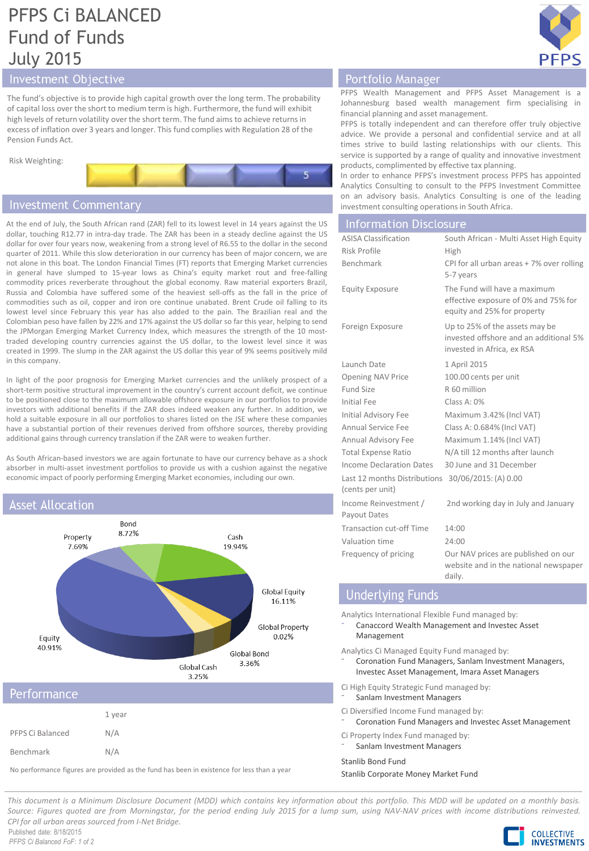# PFPS Ci BALANCED Fund of Funds July 2015



## Investment Objective

The fund's objective is to provide high capital growth over the long term. The probability of capital loss over the short to medium term is high. Furthermore, the fund will exhibit high levels of return volatility over the short term. The fund aims to achieve returns in excess of inflation over 3 years and longer. This fund complies with Regulation 28 of the Pension Funds Act.



## **Investment Commentary**

At the end of July, the South African rand (ZAR) fell to its lowest level in 14 years against the US dollar, touching R12.77 in intra-day trade. The ZAR has been in a steady decline against the US dollar for over four years now, weakening from a strong level of R6.55 to the dollar in the second quarter of 2011. While this slow deterioration in our currency has been of major concern, we are not alone in this boat. The London Financial Times (FT) reports that Emerging Market currencies in general have slumped to 15-year lows as China's equity market rout and free-falling commodity prices reverberate throughout the global economy. Raw material exporters Brazil, Russia and Colombia have suffered some of the heaviest sell-offs as the fall in the price of commodities such as oil, copper and iron ore continue unabated. Brent Crude oil falling to its lowest level since February this year has also added to the pain. The Brazilian real and the Colombian peso have fallen by 22% and 17% against the US dollar so far this year, helping to send the JPMorgan Emerging Market Currency Index, which measures the strength of the 10 mosttraded developing country currencies against the US dollar, to the lowest level since it was created in 1999. The slump in the ZAR against the US dollar this year of 9% seems positively mild in this company.

In light of the poor prognosis for Emerging Market currencies and the unlikely prospect of a short-term positive structural improvement in the country's current account deficit, we continue to be positioned close to the maximum allowable offshore exposure in our portfolios to provide investors with additional benefits if the ZAR does indeed weaken any further. In addition, we hold a suitable exposure in all our portfolios to shares listed on the JSE where these companies have a substantial portion of their revenues derived from offshore sources, thereby providing additional gains through currency translation if the ZAR were to weaken further.

As South African-based investors we are again fortunate to have our currency behave as a shock absorber in multi-asset investment portfolios to provide us with a cushion against the negative economic impact of poorly performing Emerging Market economies, including our own.

## **Asset Allocation**



Benchmark N/A

No performance figures are provided as the fund has been in existence for less than a year

## Portfolio Manager

PFPS Wealth Management and PFPS Asset Management is a Johannesburg based wealth management firm specialising in financial planning and asset management.

PFPS is totally independent and can therefore offer truly objective advice. We provide a personal and confidential service and at all times strive to build lasting relationships with our clients. This service is supported by a range of quality and innovative investment products, complimented by effective tax planning.

In order to enhance PFPS's investment process PFPS has appointed Analytics Consulting to consult to the PFPS Investment Committee on an advisory basis. Analytics Consulting is one of the leading investment consulting operations in South Africa.

### **Information Disclosure**

| <b>ASISA Classification</b>                                           | South African - Multi Asset High Equity                                                                |
|-----------------------------------------------------------------------|--------------------------------------------------------------------------------------------------------|
| Risk Profile                                                          | High                                                                                                   |
| Benchmark                                                             | CPI for all urban areas + 7% over rolling<br>5-7 years                                                 |
| <b>Equity Exposure</b>                                                | The Fund will have a maximum<br>effective exposure of 0% and 75% for<br>equity and 25% for property    |
| Foreign Exposure                                                      | Up to 25% of the assets may be<br>invested offshore and an additional 5%<br>invested in Africa, ex RSA |
| Launch Date                                                           | 1 April 2015                                                                                           |
| <b>Opening NAV Price</b>                                              | 100.00 cents per unit                                                                                  |
| <b>Fund Size</b>                                                      | R 60 million                                                                                           |
| Initial Fee                                                           | Class A: 0%                                                                                            |
| <b>Initial Advisory Fee</b>                                           | Maximum 3.42% (Incl VAT)                                                                               |
| Annual Service Fee                                                    | Class A: 0.684% (Incl VAT)                                                                             |
| Annual Advisory Fee                                                   | Maximum 1.14% (Incl VAT)                                                                               |
| <b>Total Expense Ratio</b>                                            | N/A till 12 months after launch                                                                        |
| Income Declaration Dates                                              | 30 June and 31 December                                                                                |
| Last 12 months Distributions 30/06/2015: (A) 0.00<br>(cents per unit) |                                                                                                        |
| Income Reinvestment /<br>Payout Dates                                 | 2nd working day in July and January                                                                    |
| <b>Transaction cut-off Time</b>                                       | 14:00                                                                                                  |
| Valuation time                                                        | 24:00                                                                                                  |
| Frequency of pricing                                                  | Our NAV prices are published on our<br>website and in the national newspaper<br>daily.                 |

# **Underlying Funds**

Analytics International Flexible Fund managed by:

⁻ Canaccord Wealth Management and Investec Asset Management

Analytics Ci Managed Equity Fund managed by:

⁻ Coronation Fund Managers, Sanlam Investment Managers, Investec Asset Management, Imara Asset Managers

Ci High Equity Strategic Fund managed by:

- Sanlam Investment Managers
- Ci Diversified Income Fund managed by:
- ⁻ Coronation Fund Managers and Investec Asset Management

Ci Property Index Fund managed by: Sanlam Investment Managers

Stanlib Bond Fund

Stanlib Corporate Money Market Fund

This document is a Minimum Disclosure Document (MDD) which contains key information about this portfolio. This MDD will be updated on a monthly basis. Source: Figures quoted are from Morningstar, for the period ending July 2015 for a lump sum, using NAV-NAV prices with income distributions reinvested. *CPI for all urban areas sourced from I-Net Bridge.*

Published date: 8/18/2015 *PFPS Ci Balanced FoF: 1 of 2*